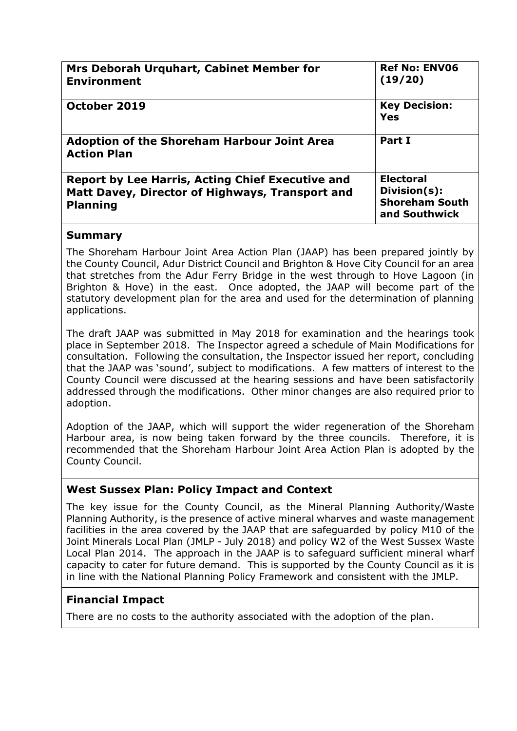| Mrs Deborah Urquhart, Cabinet Member for<br><b>Environment</b>                                                                | <b>Ref No: ENV06</b><br>(19/20)                                            |
|-------------------------------------------------------------------------------------------------------------------------------|----------------------------------------------------------------------------|
| October 2019                                                                                                                  | <b>Key Decision:</b><br>Yes                                                |
| <b>Adoption of the Shoreham Harbour Joint Area</b><br><b>Action Plan</b>                                                      | Part I                                                                     |
| <b>Report by Lee Harris, Acting Chief Executive and</b><br>Matt Davey, Director of Highways, Transport and<br><b>Planning</b> | <b>Electoral</b><br>Division(s):<br><b>Shoreham South</b><br>and Southwick |

## **Summary**

The Shoreham Harbour Joint Area Action Plan (JAAP) has been prepared jointly by the County Council, Adur District Council and Brighton & Hove City Council for an area that stretches from the Adur Ferry Bridge in the west through to Hove Lagoon (in Brighton & Hove) in the east. Once adopted, the JAAP will become part of the statutory development plan for the area and used for the determination of planning applications.

The draft JAAP was submitted in May 2018 for examination and the hearings took place in September 2018. The Inspector agreed a schedule of Main Modifications for consultation. Following the consultation, the Inspector issued her report, concluding that the JAAP was 'sound', subject to modifications. A few matters of interest to the County Council were discussed at the hearing sessions and have been satisfactorily addressed through the modifications. Other minor changes are also required prior to adoption.

Adoption of the JAAP, which will support the wider regeneration of the Shoreham Harbour area, is now being taken forward by the three councils. Therefore, it is recommended that the Shoreham Harbour Joint Area Action Plan is adopted by the County Council.

# **West Sussex Plan: Policy Impact and Context**

The key issue for the County Council, as the Mineral Planning Authority/Waste Planning Authority, is the presence of active mineral wharves and waste management facilities in the area covered by the JAAP that are safeguarded by policy M10 of the Joint Minerals Local Plan (JMLP - July 2018) and policy W2 of the West Sussex Waste Local Plan 2014. The approach in the JAAP is to safeguard sufficient mineral wharf capacity to cater for future demand. This is supported by the County Council as it is in line with the National Planning Policy Framework and consistent with the JMLP.

# **Financial Impact**

There are no costs to the authority associated with the adoption of the plan.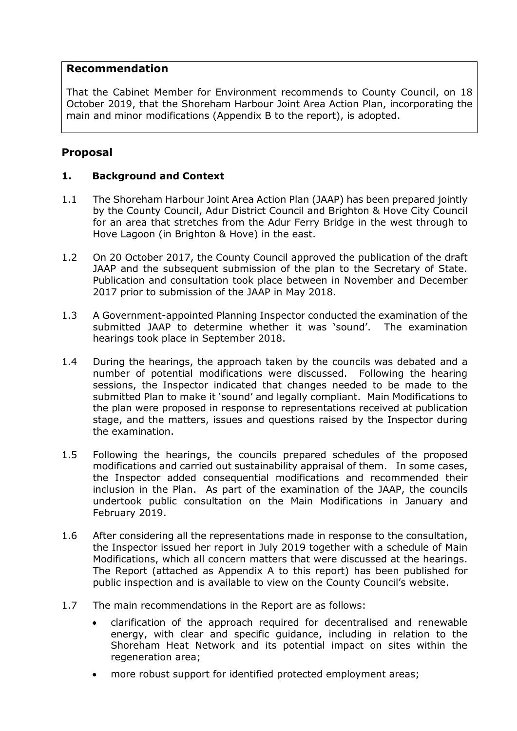## **Recommendation**

That the Cabinet Member for Environment recommends to County Council, on 18 October 2019, that the Shoreham Harbour Joint Area Action Plan, incorporating the main and minor modifications (Appendix B to the report), is adopted.

## **Proposal**

## **1. Background and Context**

- 1.1 The Shoreham Harbour Joint Area Action Plan (JAAP) has been prepared jointly by the County Council, Adur District Council and Brighton & Hove City Council for an area that stretches from the Adur Ferry Bridge in the west through to Hove Lagoon (in Brighton & Hove) in the east.
- 1.2 On 20 October 2017, the County Council approved the publication of the draft JAAP and the subsequent submission of the plan to the Secretary of State. Publication and consultation took place between in November and December 2017 prior to submission of the JAAP in May 2018.
- 1.3 A Government-appointed Planning Inspector conducted the examination of the submitted JAAP to determine whether it was 'sound'. The examination hearings took place in September 2018.
- 1.4 During the hearings, the approach taken by the councils was debated and a number of potential modifications were discussed. Following the hearing sessions, the Inspector indicated that changes needed to be made to the submitted Plan to make it 'sound' and legally compliant. Main Modifications to the plan were proposed in response to representations received at publication stage, and the matters, issues and questions raised by the Inspector during the examination.
- 1.5 Following the hearings, the councils prepared schedules of the proposed modifications and carried out sustainability appraisal of them. In some cases, the Inspector added consequential modifications and recommended their inclusion in the Plan. As part of the examination of the JAAP, the councils undertook public consultation on the Main Modifications in January and February 2019.
- 1.6 After considering all the representations made in response to the consultation, the Inspector issued her report in July 2019 together with a schedule of Main Modifications, which all concern matters that were discussed at the hearings. The Report (attached as Appendix A to this report) has been published for public inspection and is available to view on the County Council's website.
- 1.7 The main recommendations in the Report are as follows:
	- clarification of the approach required for decentralised and renewable energy, with clear and specific guidance, including in relation to the Shoreham Heat Network and its potential impact on sites within the regeneration area;
	- more robust support for identified protected employment areas;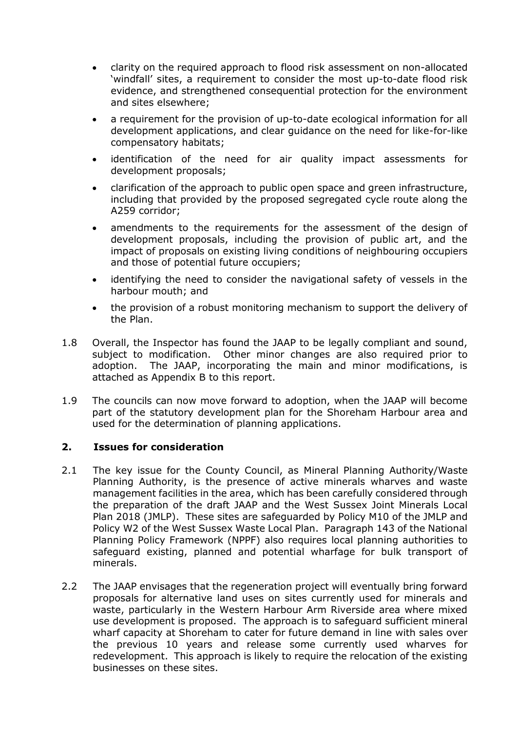- clarity on the required approach to flood risk assessment on non-allocated 'windfall' sites, a requirement to consider the most up-to-date flood risk evidence, and strengthened consequential protection for the environment and sites elsewhere;
- a requirement for the provision of up-to-date ecological information for all development applications, and clear guidance on the need for like-for-like compensatory habitats;
- identification of the need for air quality impact assessments for development proposals;
- clarification of the approach to public open space and green infrastructure, including that provided by the proposed segregated cycle route along the A259 corridor;
- amendments to the requirements for the assessment of the design of development proposals, including the provision of public art, and the impact of proposals on existing living conditions of neighbouring occupiers and those of potential future occupiers;
- identifying the need to consider the navigational safety of vessels in the harbour mouth; and
- the provision of a robust monitoring mechanism to support the delivery of the Plan.
- 1.8 Overall, the Inspector has found the JAAP to be legally compliant and sound, subject to modification. Other minor changes are also required prior to adoption. The JAAP, incorporating the main and minor modifications, is attached as Appendix B to this report.
- 1.9 The councils can now move forward to adoption, when the JAAP will become part of the statutory development plan for the Shoreham Harbour area and used for the determination of planning applications.

#### **2. Issues for consideration**

- 2.1 The key issue for the County Council, as Mineral Planning Authority/Waste Planning Authority, is the presence of active minerals wharves and waste management facilities in the area, which has been carefully considered through the preparation of the draft JAAP and the West Sussex Joint Minerals Local Plan 2018 (JMLP). These sites are safeguarded by Policy M10 of the JMLP and Policy W2 of the West Sussex Waste Local Plan. Paragraph 143 of the National Planning Policy Framework (NPPF) also requires local planning authorities to safeguard existing, planned and potential wharfage for bulk transport of minerals.
- 2.2 The JAAP envisages that the regeneration project will eventually bring forward proposals for alternative land uses on sites currently used for minerals and waste, particularly in the Western Harbour Arm Riverside area where mixed use development is proposed. The approach is to safeguard sufficient mineral wharf capacity at Shoreham to cater for future demand in line with sales over the previous 10 years and release some currently used wharves for redevelopment. This approach is likely to require the relocation of the existing businesses on these sites.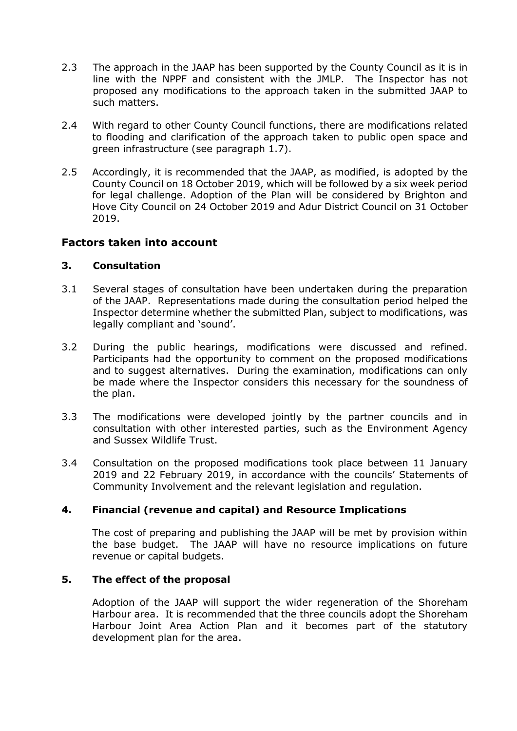- 2.3 The approach in the JAAP has been supported by the County Council as it is in line with the NPPF and consistent with the JMLP. The Inspector has not proposed any modifications to the approach taken in the submitted JAAP to such matters.
- 2.4 With regard to other County Council functions, there are modifications related to flooding and clarification of the approach taken to public open space and green infrastructure (see paragraph 1.7).
- 2.5 Accordingly, it is recommended that the JAAP, as modified, is adopted by the County Council on 18 October 2019, which will be followed by a six week period for legal challenge. Adoption of the Plan will be considered by Brighton and Hove City Council on 24 October 2019 and Adur District Council on 31 October 2019.

## **Factors taken into account**

#### **3. Consultation**

- 3.1 Several stages of consultation have been undertaken during the preparation of the JAAP. Representations made during the consultation period helped the Inspector determine whether the submitted Plan, subject to modifications, was legally compliant and 'sound'.
- 3.2 During the public hearings, modifications were discussed and refined. Participants had the opportunity to comment on the proposed modifications and to suggest alternatives. During the examination, modifications can only be made where the Inspector considers this necessary for the soundness of the plan.
- 3.3 The modifications were developed jointly by the partner councils and in consultation with other interested parties, such as the Environment Agency and Sussex Wildlife Trust.
- 3.4 Consultation on the proposed modifications took place between 11 January 2019 and 22 February 2019, in accordance with the councils' Statements of Community Involvement and the relevant legislation and regulation.

#### **4. Financial (revenue and capital) and Resource Implications**

The cost of preparing and publishing the JAAP will be met by provision within the base budget. The JAAP will have no resource implications on future revenue or capital budgets.

#### **5. The effect of the proposal**

Adoption of the JAAP will support the wider regeneration of the Shoreham Harbour area. It is recommended that the three councils adopt the Shoreham Harbour Joint Area Action Plan and it becomes part of the statutory development plan for the area.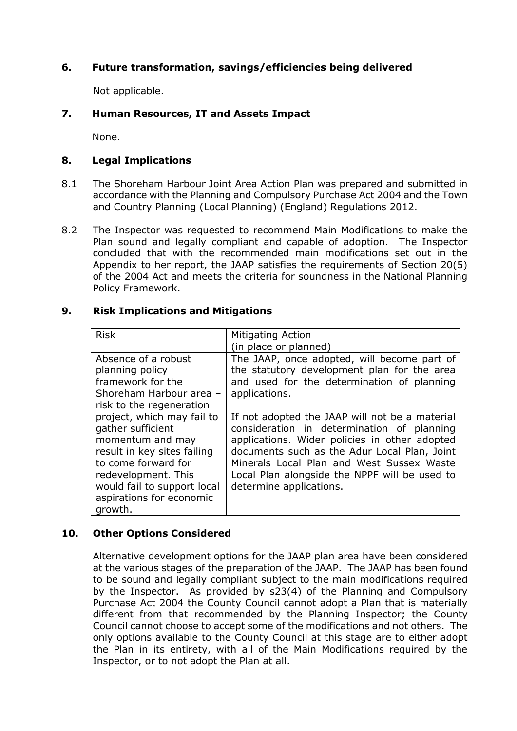#### **6. Future transformation, savings/efficiencies being delivered**

Not applicable.

#### **7. Human Resources, IT and Assets Impact**

None.

#### **8. Legal Implications**

- 8.1 The Shoreham Harbour Joint Area Action Plan was prepared and submitted in accordance with the Planning and Compulsory Purchase Act 2004 and the Town and Country Planning (Local Planning) (England) Regulations 2012.
- 8.2 The Inspector was requested to recommend Main Modifications to make the Plan sound and legally compliant and capable of adoption. The Inspector concluded that with the recommended main modifications set out in the Appendix to her report, the JAAP satisfies the requirements of Section 20(5) of the 2004 Act and meets the criteria for soundness in the National Planning Policy Framework.

#### **9. Risk Implications and Mitigations**

| <b>Risk</b>                 | <b>Mitigating Action</b>                       |
|-----------------------------|------------------------------------------------|
|                             | (in place or planned)                          |
| Absence of a robust         | The JAAP, once adopted, will become part of    |
| planning policy             | the statutory development plan for the area    |
| framework for the           | and used for the determination of planning     |
| Shoreham Harbour area -     | applications.                                  |
| risk to the regeneration    |                                                |
| project, which may fail to  | If not adopted the JAAP will not be a material |
| gather sufficient           | consideration in determination of planning     |
| momentum and may            | applications. Wider policies in other adopted  |
| result in key sites failing | documents such as the Adur Local Plan, Joint   |
| to come forward for         | Minerals Local Plan and West Sussex Waste      |
| redevelopment. This         | Local Plan alongside the NPPF will be used to  |
| would fail to support local | determine applications.                        |
| aspirations for economic    |                                                |
| growth.                     |                                                |

#### **10. Other Options Considered**

Alternative development options for the JAAP plan area have been considered at the various stages of the preparation of the JAAP. The JAAP has been found to be sound and legally compliant subject to the main modifications required by the Inspector. As provided by s23(4) of the Planning and Compulsory Purchase Act 2004 the County Council cannot adopt a Plan that is materially different from that recommended by the Planning Inspector; the County Council cannot choose to accept some of the modifications and not others. The only options available to the County Council at this stage are to either adopt the Plan in its entirety, with all of the Main Modifications required by the Inspector, or to not adopt the Plan at all.